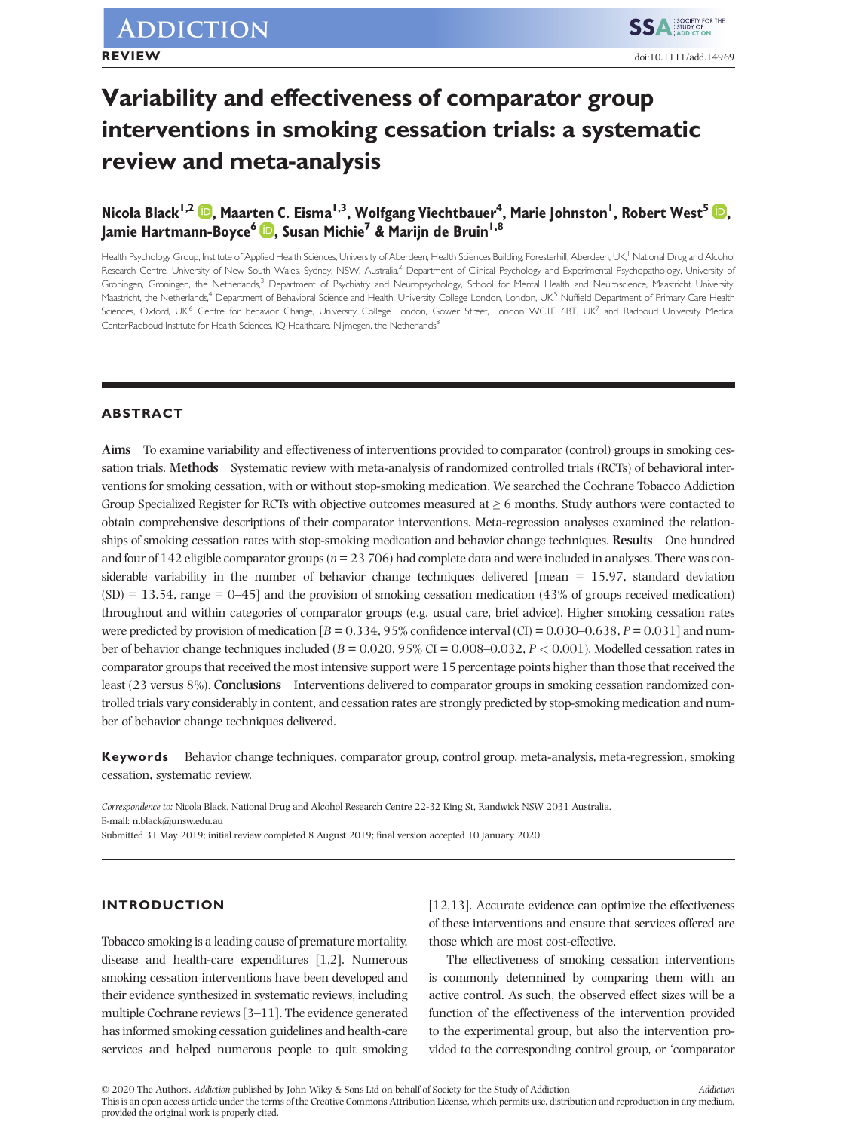# **Variability and effectiveness of comparator group interventions in smoking cessation trials: a systematic review and meta-analysis**

# $\bar{\textbf{N}}$ icola Black<sup>1[,](https://orcid.org/0000-0002-7933-4833)2</sup>  $\bar{\textbf{D}}$ , Maarten C. Eisma<sup>1,3</sup>, Wolfgang Viechtbauer<sup>4</sup>, Marie Johnston<sup>1</sup>, Robert West<sup>5</sup>  $\bar{\textbf{D}}$ , **Jamie Hartmann-Boyce<sup>6</sup> <b>D**[,](https://orcid.org/0000-0001-9898-3049) Susan Michie<sup>7</sup> & Marijn de Bruin<sup>1,8</sup>

Health Psychology Group, Institute of Applied Health Sciences, University of Aberdeen, Health Sciences Building, Foresterhill, Aberdeen, UK,<sup>1</sup> National Drug and Alcohol Research Centre, University of New South Wales, Sydney, NSW, Australia,<sup>2</sup> Department of Clinical Psychology and Experimental Psychopathology, University of Groningen, Groningen, the Netherlands,<sup>3</sup> Department of Psychiatry and Neuropsychology, School for Mental Health and Neuroscience, Maastricht University, Maastricht, the Netherlands,<sup>4</sup> Department of Behavioral Science and Health, University College London, London, UK,<sup>5</sup> Nuffield Department of Primary Care Health Sciences, Oxford, UK,<sup>6</sup> Centre for behavior Change, University College London, Gower Street, London WC1E 6BT, UK<sup>7</sup> and Radboud University Medical CenterRadboud Institute for Health Sciences, IQ Healthcare, Nijmegen, the Netherlands<sup>8</sup>

# **ABSTRACT**

**Aims** To examine variability and effectiveness of interventions provided to comparator (control) groups in smoking cessation trials. **Methods** Systematic review with meta-analysis of randomized controlled trials (RCTs) of behavioral interventions for smoking cessation, with or without stop-smoking medication. We searched the Cochrane Tobacco Addiction Group Specialized Register for RCTs with objective outcomes measured at  $\geq 6$  months. Study authors were contacted to obtain comprehensive descriptions of their comparator interventions. Meta-regression analyses examined the relationships of smoking cessation rates with stop-smoking medication and behavior change techniques. **Results** One hundred and four of 142 eligible comparator groups ( $n = 23,706$ ) had complete data and were included in analyses. There was considerable variability in the number of behavior change techniques delivered [mean = 15.97, standard deviation  $(SD) = 13.54$ , range = 0–45] and the provision of smoking cessation medication (43% of groups received medication) throughout and within categories of comparator groups (e.g. usual care, brief advice). Higher smoking cessation rates were predicted by provision of medication  $[B = 0.334, 95\%$  confidence interval  $(CI) = 0.030-0.638$ ,  $P = 0.031$  and number of behavior change techniques included (*B* = 0.020, 95% CI = 0.008–0.032, *P <* 0.001). Modelled cessation rates in comparator groups that received the most intensive support were 15 percentage points higher than those that received the least (23 versus 8%). **Conclusions** Interventions delivered to comparator groups in smoking cessation randomized controlled trials vary considerably in content, and cessation rates are strongly predicted by stop-smoking medication and number of behavior change techniques delivered.

**Keywords** Behavior change techniques, comparator group, control group, meta-analysis, meta-regression, smoking cessation, systematic review.

*Correspondence to:* Nicola Black, National Drug and Alcohol Research Centre 22-32 King St, Randwick NSW 2031 Australia. E-mail: n.black@unsw.edu.au Submitted 31 May 2019; initial review completed 8 August 2019; final version accepted 10 January 2020

# **INTRODUCTION**

Tobacco smoking is a leading cause of premature mortality, disease and health-care expenditures [1,2]. Numerous smoking cessation interventions have been developed and their evidence synthesized in systematic reviews, including multiple Cochrane reviews [3–11]. The evidence generated has informed smoking cessation guidelines and health-care services and helped numerous people to quit smoking [12,13]. Accurate evidence can optimize the effectiveness of these interventions and ensure that services offered are those which are most cost-effective.

The effectiveness of smoking cessation interventions is commonly determined by comparing them with an active control. As such, the observed effect sizes will be a function of the effectiveness of the intervention provided to the experimental group, but also the intervention provided to the corresponding control group, or 'comparator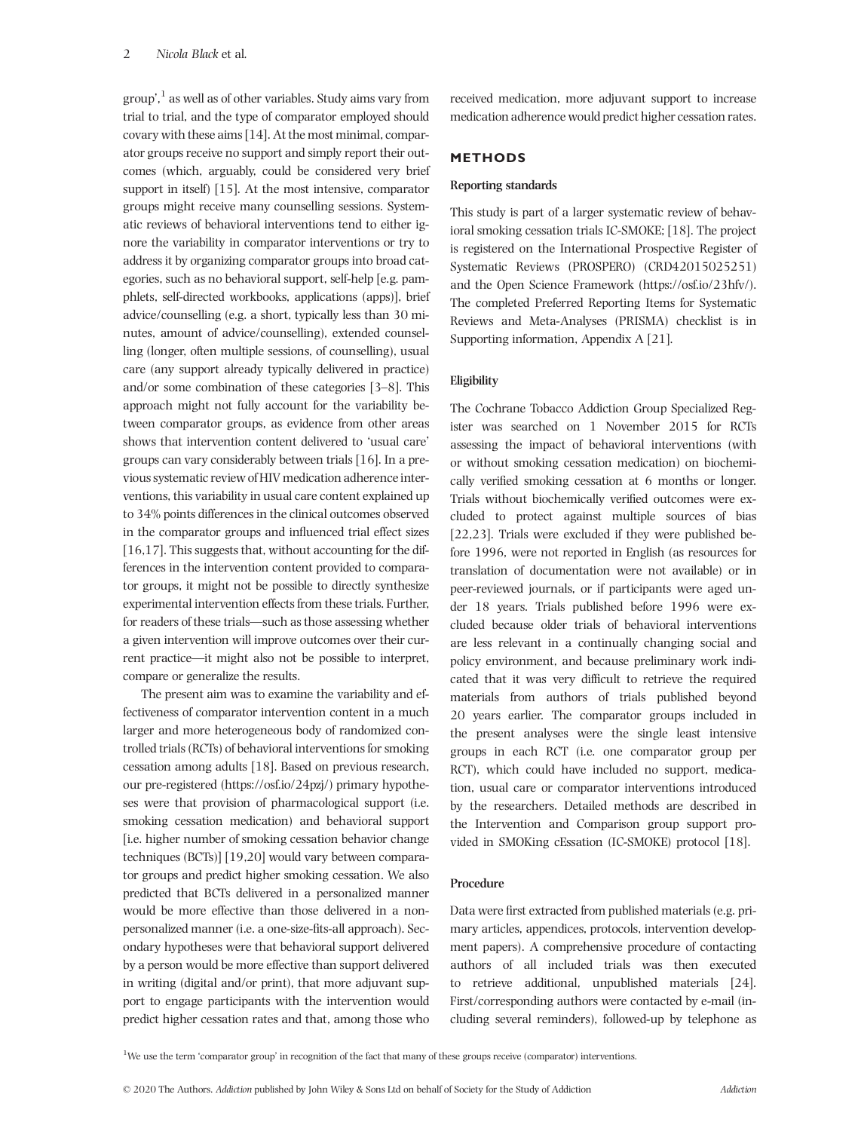group', <sup>1</sup> as well as of other variables. Study aims vary from trial to trial, and the type of comparator employed should covary with these aims [14]. At the most minimal, comparator groups receive no support and simply report their outcomes (which, arguably, could be considered very brief support in itself) [15]. At the most intensive, comparator groups might receive many counselling sessions. Systematic reviews of behavioral interventions tend to either ignore the variability in comparator interventions or try to address it by organizing comparator groups into broad categories, such as no behavioral support, self-help [e.g. pamphlets, self-directed workbooks, applications (apps)], brief advice/counselling (e.g. a short, typically less than 30 minutes, amount of advice/counselling), extended counselling (longer, often multiple sessions, of counselling), usual care (any support already typically delivered in practice) and/or some combination of these categories [3–8]. This approach might not fully account for the variability between comparator groups, as evidence from other areas shows that intervention content delivered to 'usual care' groups can vary considerably between trials [16]. In a previous systematic review of HIV medication adherence interventions, this variability in usual care content explained up to 34% points differences in the clinical outcomes observed in the comparator groups and influenced trial effect sizes [16,17]. This suggests that, without accounting for the differences in the intervention content provided to comparator groups, it might not be possible to directly synthesize experimental intervention effects from these trials. Further, for readers of these trials—such as those assessing whether a given intervention will improve outcomes over their current practice—it might also not be possible to interpret, compare or generalize the results.

The present aim was to examine the variability and effectiveness of comparator intervention content in a much larger and more heterogeneous body of randomized controlled trials (RCTs) of behavioral interventions for smoking cessation among adults [18]. Based on previous research, our pre-registered (https://osf.io/24pzj/) primary hypotheses were that provision of pharmacological support (i.e. smoking cessation medication) and behavioral support [i.e. higher number of smoking cessation behavior change techniques (BCTs)] [19,20] would vary between comparator groups and predict higher smoking cessation. We also predicted that BCTs delivered in a personalized manner would be more effective than those delivered in a nonpersonalized manner (i.e. a one-size-fits-all approach). Secondary hypotheses were that behavioral support delivered by a person would be more effective than support delivered in writing (digital and/or print), that more adjuvant support to engage participants with the intervention would predict higher cessation rates and that, among those who

received medication, more adjuvant support to increase medication adherence would predict higher cessation rates.

## **METHODS**

#### **Reporting standards**

This study is part of a larger systematic review of behavioral smoking cessation trials IC-SMOKE; [18]. The project is registered on the International Prospective Register of Systematic Reviews (PROSPERO) (CRD42015025251) and the Open Science Framework (https://osf.io/23hfv/). The completed Preferred Reporting Items for Systematic Reviews and Meta-Analyses (PRISMA) checklist is in Supporting information, Appendix A [21].

## **Eligibility**

The Cochrane Tobacco Addiction Group Specialized Register was searched on 1 November 2015 for RCTs assessing the impact of behavioral interventions (with or without smoking cessation medication) on biochemically verified smoking cessation at 6 months or longer. Trials without biochemically verified outcomes were excluded to protect against multiple sources of bias [22,23]. Trials were excluded if they were published before 1996, were not reported in English (as resources for translation of documentation were not available) or in peer-reviewed journals, or if participants were aged under 18 years. Trials published before 1996 were excluded because older trials of behavioral interventions are less relevant in a continually changing social and policy environment, and because preliminary work indicated that it was very difficult to retrieve the required materials from authors of trials published beyond 20 years earlier. The comparator groups included in the present analyses were the single least intensive groups in each RCT (i.e. one comparator group per RCT), which could have included no support, medication, usual care or comparator interventions introduced by the researchers. Detailed methods are described in the Intervention and Comparison group support provided in SMOKing cEssation (IC-SMOKE) protocol [18].

# **Procedure**

Data were first extracted from published materials (e.g. primary articles, appendices, protocols, intervention development papers). A comprehensive procedure of contacting authors of all included trials was then executed to retrieve additional, unpublished materials [24]. First/corresponding authors were contacted by e-mail (including several reminders), followed-up by telephone as

<sup>1</sup>We use the term 'comparator group' in recognition of the fact that many of these groups receive (comparator) interventions.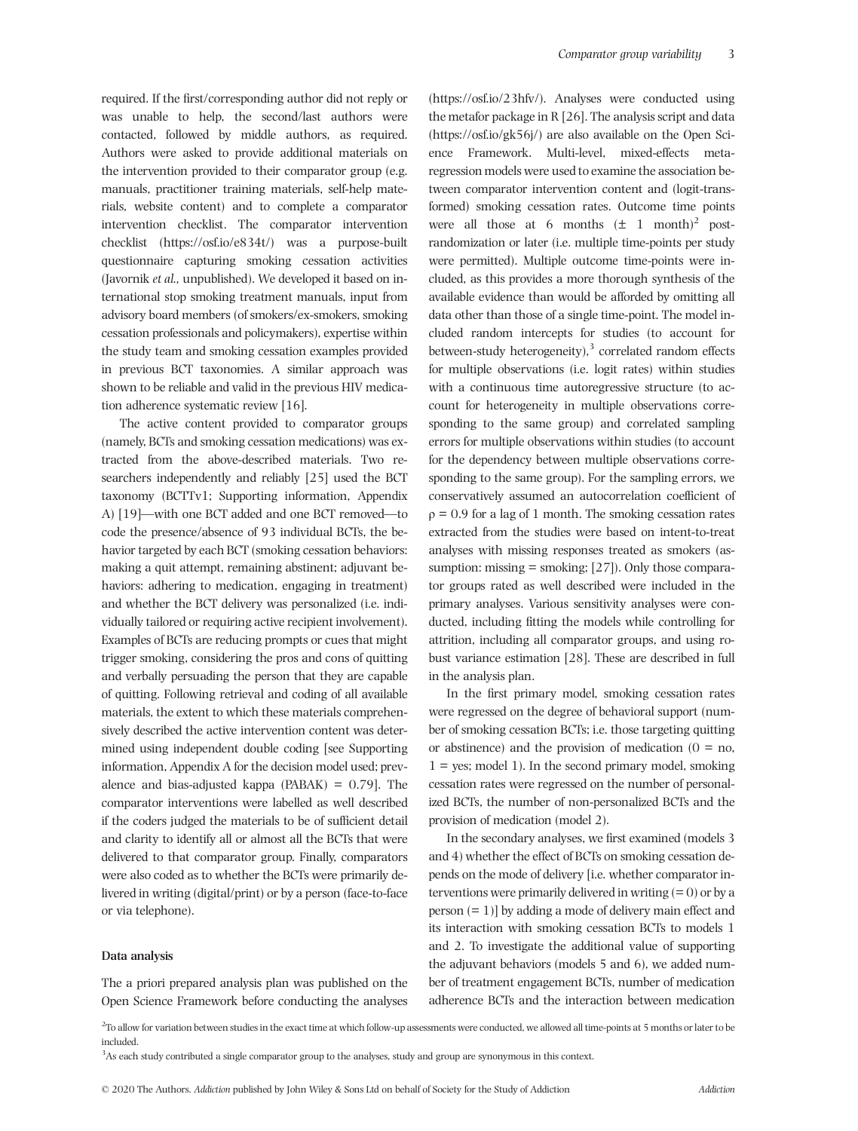required. If the first/corresponding author did not reply or was unable to help, the second/last authors were contacted, followed by middle authors, as required. Authors were asked to provide additional materials on the intervention provided to their comparator group (e.g. manuals, practitioner training materials, self-help materials, website content) and to complete a comparator intervention checklist. The comparator intervention checklist [\(https://osf.io/e834t/](https://osf.io/e834t/)) was a purpose-built questionnaire capturing smoking cessation activities (Javornik *et al.,* unpublished). We developed it based on international stop smoking treatment manuals, input from advisory board members (of smokers/ex-smokers, smoking cessation professionals and policymakers), expertise within the study team and smoking cessation examples provided in previous BCT taxonomies. A similar approach was shown to be reliable and valid in the previous HIV medication adherence systematic review [16].

The active content provided to comparator groups (namely, BCTs and smoking cessation medications) was extracted from the above-described materials. Two researchers independently and reliably [25] used the BCT taxonomy (BCTTv1; Supporting information, Appendix A) [19]—with one BCT added and one BCT removed—to code the presence/absence of 93 individual BCTs, the behavior targeted by each BCT (smoking cessation behaviors: making a quit attempt, remaining abstinent; adjuvant behaviors: adhering to medication, engaging in treatment) and whether the BCT delivery was personalized (i.e. individually tailored or requiring active recipient involvement). Examples of BCTs are reducing prompts or cues that might trigger smoking, considering the pros and cons of quitting and verbally persuading the person that they are capable of quitting. Following retrieval and coding of all available materials, the extent to which these materials comprehensively described the active intervention content was determined using independent double coding [see Supporting information, Appendix A for the decision model used; prevalence and bias-adjusted kappa  $(PABAK) = 0.79$ . The comparator interventions were labelled as well described if the coders judged the materials to be of sufficient detail and clarity to identify all or almost all the BCTs that were delivered to that comparator group. Finally, comparators were also coded as to whether the BCTs were primarily delivered in writing (digital/print) or by a person (face-to-face or via telephone).

#### **Data analysis**

The a priori prepared analysis plan was published on the Open Science Framework before conducting the analyses

(<https://osf.io/23hfv/>). Analyses were conducted using the metafor package in R [26]. The analysis script and data ([https://osf.io/gk56j/\)](https://osf.io/gk56j/) are also available on the Open Science Framework. Multi-level, mixed-effects metaregression models were used to examine the association between comparator intervention content and (logit-transformed) smoking cessation rates. Outcome time points were all those at 6 months  $(\pm 1 \text{ month})^2$  postrandomization or later (i.e. multiple time-points per study were permitted). Multiple outcome time-points were included, as this provides a more thorough synthesis of the available evidence than would be afforded by omitting all data other than those of a single time-point. The model included random intercepts for studies (to account for between-study heterogeneity), $3$  correlated random effects for multiple observations (i.e. logit rates) within studies with a continuous time autoregressive structure (to account for heterogeneity in multiple observations corresponding to the same group) and correlated sampling errors for multiple observations within studies (to account for the dependency between multiple observations corresponding to the same group). For the sampling errors, we conservatively assumed an autocorrelation coefficient of  $\rho = 0.9$  for a lag of 1 month. The smoking cessation rates extracted from the studies were based on intent-to-treat analyses with missing responses treated as smokers (assumption: missing  $=$  smoking; [27]). Only those comparator groups rated as well described were included in the primary analyses. Various sensitivity analyses were conducted, including fitting the models while controlling for attrition, including all comparator groups, and using robust variance estimation [28]. These are described in full in the analysis plan.

In the first primary model, smoking cessation rates were regressed on the degree of behavioral support (number of smoking cessation BCTs; i.e. those targeting quitting or abstinence) and the provision of medication  $(0 = no,$  $1 = yes$ ; model 1). In the second primary model, smoking cessation rates were regressed on the number of personalized BCTs, the number of non-personalized BCTs and the provision of medication (model 2).

In the secondary analyses, we first examined (models 3 and 4) whether the effect of BCTs on smoking cessation depends on the mode of delivery [i.e. whether comparator interventions were primarily delivered in writing  $(= 0)$  or by a person  $(= 1)$ ] by adding a mode of delivery main effect and its interaction with smoking cessation BCTs to models 1 and 2. To investigate the additional value of supporting the adjuvant behaviors (models 5 and 6), we added number of treatment engagement BCTs, number of medication adherence BCTs and the interaction between medication

<sup>2</sup>To allow for variation between studies in the exact time at which follow-up assessments were conducted, we allowed all time-points at 5 months or later to be included.

3 As each study contributed a single comparator group to the analyses, study and group are synonymous in this context.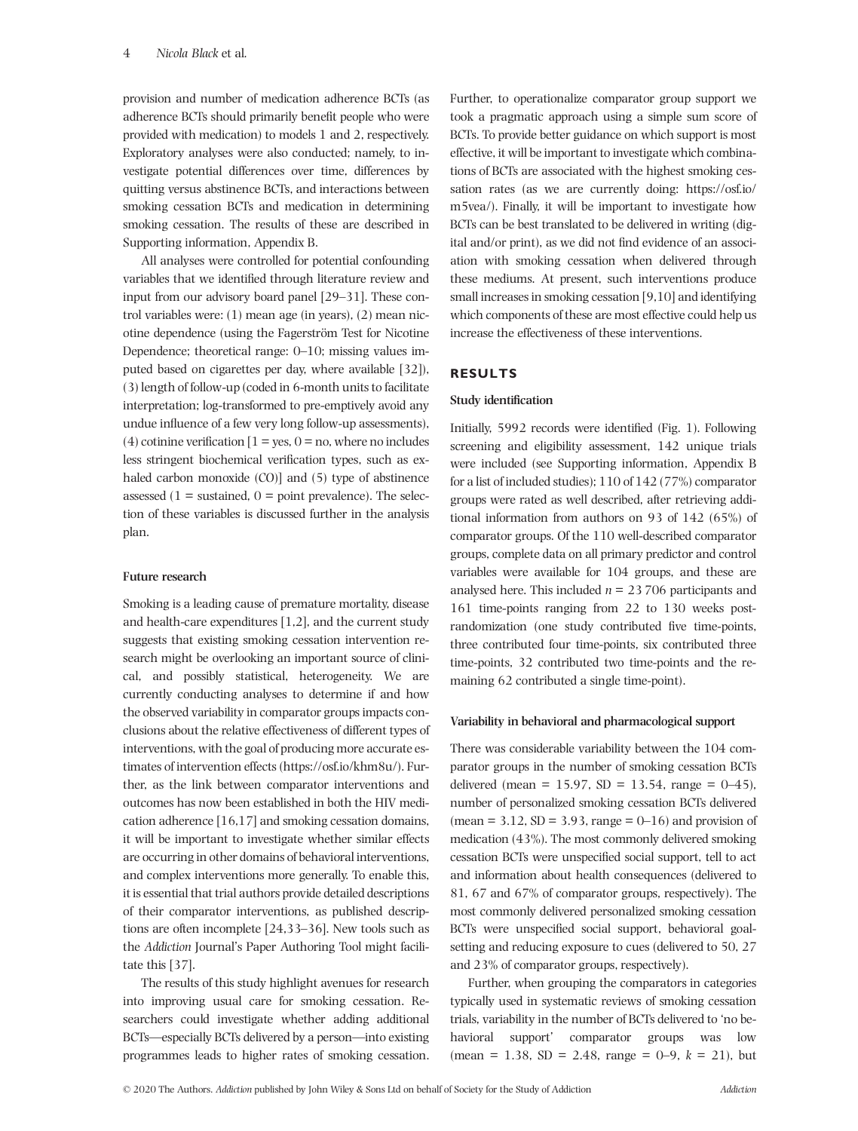provision and number of medication adherence BCTs (as adherence BCTs should primarily benefit people who were provided with medication) to models 1 and 2, respectively. Exploratory analyses were also conducted; namely, to investigate potential differences over time, differences by quitting versus abstinence BCTs, and interactions between smoking cessation BCTs and medication in determining smoking cessation. The results of these are described in Supporting information, Appendix B.

All analyses were controlled for potential confounding variables that we identified through literature review and input from our advisory board panel [29–31]. These control variables were: (1) mean age (in years), (2) mean nicotine dependence (using the Fagerström Test for Nicotine Dependence; theoretical range: 0–10; missing values imputed based on cigarettes per day, where available [32]), (3) length of follow-up (coded in 6-month units to facilitate interpretation; log-transformed to pre-emptively avoid any undue influence of a few very long follow-up assessments), (4) cotinine verification  $[1 = yes, 0 = no$ , where no includes less stringent biochemical verification types, such as exhaled carbon monoxide (CO)] and (5) type of abstinence assessed ( $1 =$  sustained,  $0 =$  point prevalence). The selection of these variables is discussed further in the analysis plan.

## **Future research**

Smoking is a leading cause of premature mortality, disease and health-care expenditures [1,2], and the current study suggests that existing smoking cessation intervention research might be overlooking an important source of clinical, and possibly statistical, heterogeneity. We are currently conducting analyses to determine if and how the observed variability in comparator groups impacts conclusions about the relative effectiveness of different types of interventions, with the goal of producing more accurate estimates of intervention effects [\(https://osf.io/khm8u/\)](https://osf.io/khm8u/). Further, as the link between comparator interventions and outcomes has now been established in both the HIV medication adherence [16,17] and smoking cessation domains, it will be important to investigate whether similar effects are occurring in other domains of behavioral interventions, and complex interventions more generally. To enable this, it is essential that trial authors provide detailed descriptions of their comparator interventions, as published descriptions are often incomplete [24,33–36]. New tools such as the *Addiction* Journal's Paper Authoring Tool might facilitate this [37].

The results of this study highlight avenues for research into improving usual care for smoking cessation. Researchers could investigate whether adding additional BCTs—especially BCTs delivered by a person—into existing programmes leads to higher rates of smoking cessation. Further, to operationalize comparator group support we took a pragmatic approach using a simple sum score of BCTs. To provide better guidance on which support is most effective, it will be important to investigate which combinations of BCTs are associated with the highest smoking cessation rates (as we are currently doing: [https://osf.io/](https://osf.io/m5vea/) [m5vea/\)](https://osf.io/m5vea/). Finally, it will be important to investigate how BCTs can be best translated to be delivered in writing (digital and/or print), as we did not find evidence of an association with smoking cessation when delivered through these mediums. At present, such interventions produce small increases in smoking cessation [9,10] and identifying which components of these are most effective could help us increase the effectiveness of these interventions.

# **RESULTS**

## **Study identification**

Initially, 5992 records were identified (Fig. 1). Following screening and eligibility assessment, 142 unique trials were included (see Supporting information, Appendix B for a list of included studies); 110 of 142 (77%) comparator groups were rated as well described, after retrieving additional information from authors on 93 of 142 (65%) of comparator groups. Of the 110 well-described comparator groups, complete data on all primary predictor and control variables were available for 104 groups, and these are analysed here. This included *n* = 23 706 participants and 161 time-points ranging from 22 to 130 weeks postrandomization (one study contributed five time-points, three contributed four time-points, six contributed three time-points, 32 contributed two time-points and the remaining 62 contributed a single time-point).

## **Variability in behavioral and pharmacological support**

There was considerable variability between the 104 comparator groups in the number of smoking cessation BCTs delivered (mean = 15.97, SD = 13.54, range =  $0-45$ ), number of personalized smoking cessation BCTs delivered  $(\text{mean} = 3.12, \text{SD} = 3.93, \text{range} = 0-16)$  and provision of medication (43%). The most commonly delivered smoking cessation BCTs were unspecified social support, tell to act and information about health consequences (delivered to 81, 67 and 67% of comparator groups, respectively). The most commonly delivered personalized smoking cessation BCTs were unspecified social support, behavioral goalsetting and reducing exposure to cues (delivered to 50, 27 and 23% of comparator groups, respectively).

Further, when grouping the comparators in categories typically used in systematic reviews of smoking cessation trials, variability in the number of BCTs delivered to 'no behavioral support' comparator groups was low (mean = 1.38,  $SD = 2.48$ , range = 0–9,  $k = 21$ ), but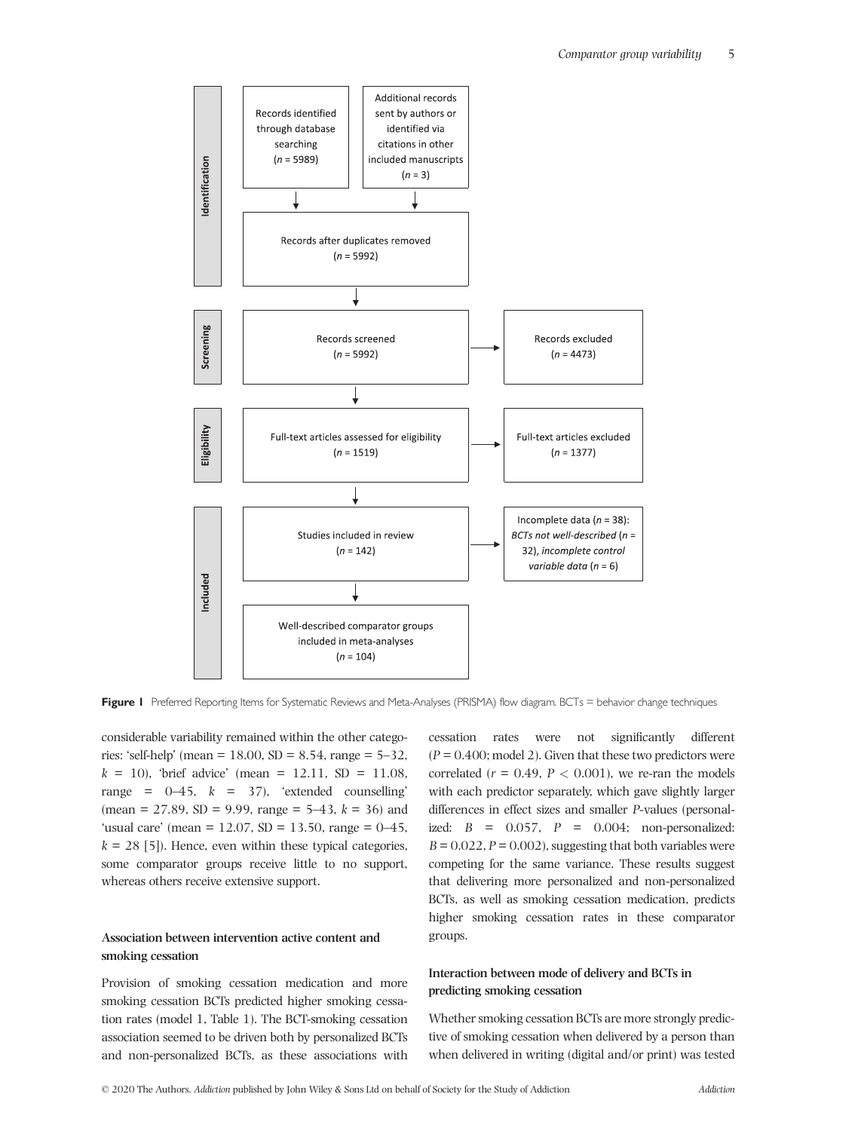

Figure 1 Preferred Reporting Items for Systematic Reviews and Meta-Analyses (PRISMA) flow diagram. BCTs = behavior change techniques

considerable variability remained within the other categories: 'self-help' (mean =  $18.00$ , SD =  $8.54$ , range =  $5-32$ ,  $k = 10$ ), 'brief advice' (mean = 12.11, SD = 11.08, range =  $0-45$ ,  $k = 37$ , 'extended counselling' (mean = 27.89, SD = 9.99, range =  $5-43$ ,  $k = 36$ ) and 'usual care' (mean =  $12.07$ , SD =  $13.50$ , range =  $0-45$ ,  $k = 28$  [5]). Hence, even within these typical categories, some comparator groups receive little to no support, whereas others receive extensive support.

## **Association between intervention active content and smoking cessation**

Provision of smoking cessation medication and more smoking cessation BCTs predicted higher smoking cessation rates (model 1, Table 1). The BCT-smoking cessation association seemed to be driven both by personalized BCTs and non-personalized BCTs, as these associations with

cessation rates were not significantly different  $(P = 0.400; \text{model 2})$ . Given that these two predictors were correlated ( $r = 0.49$ ,  $P < 0.001$ ), we re-ran the models with each predictor separately, which gave slightly larger differences in effect sizes and smaller *P*-values (personalized: *B* = 0.057, *P* = 0.004; non-personalized:  $B = 0.022$ ,  $P = 0.002$ ), suggesting that both variables were competing for the same variance. These results suggest that delivering more personalized and non-personalized BCTs, as well as smoking cessation medication, predicts higher smoking cessation rates in these comparator groups.

# **Interaction between mode of delivery and BCTs in predicting smoking cessation**

Whether smoking cessation BCTs are more strongly predictive of smoking cessation when delivered by a person than when delivered in writing (digital and/or print) was tested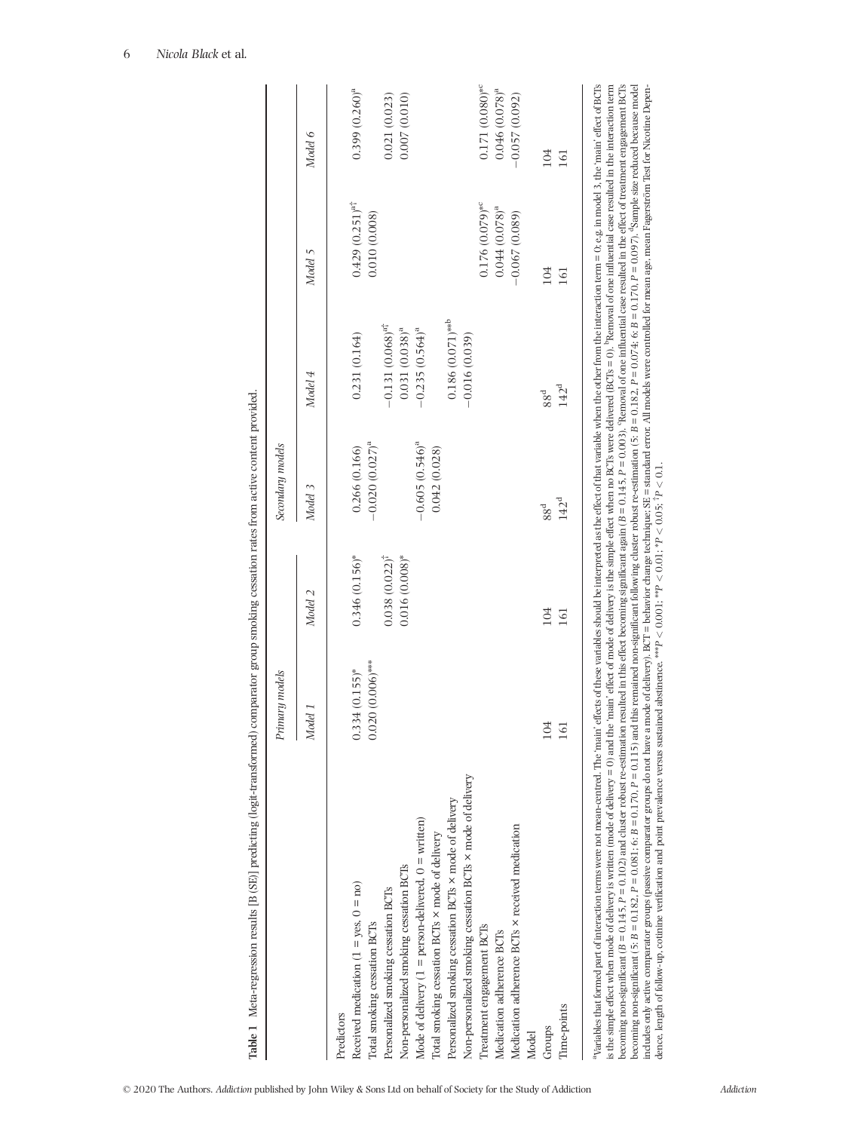|                                                                                                                                                                                                                                                                                                                                                                                                                                                                | Primary models     |                    | Secondary models  |                                |                               |                             |
|----------------------------------------------------------------------------------------------------------------------------------------------------------------------------------------------------------------------------------------------------------------------------------------------------------------------------------------------------------------------------------------------------------------------------------------------------------------|--------------------|--------------------|-------------------|--------------------------------|-------------------------------|-----------------------------|
|                                                                                                                                                                                                                                                                                                                                                                                                                                                                | Model 1            | Model 2            | Model 3           | Model 4                        | Model 5                       | Model 6                     |
| Predictors                                                                                                                                                                                                                                                                                                                                                                                                                                                     |                    |                    |                   |                                |                               |                             |
| Received medication ( $1 = yes$ , $0 = no$ )                                                                                                                                                                                                                                                                                                                                                                                                                   | $0.334(0.155)*$    | $0.346(0.156)$ *   | 0.266 (0.166)     | 0.231(0.164)                   | $0.429(0.251)^{a\dagger}$     | $0.399(0.260)^a$            |
| Total smoking cessation BCTs                                                                                                                                                                                                                                                                                                                                                                                                                                   | $0.020(0.006)$ *** |                    | $-0.020(0.027)^a$ |                                | 0.010(0.008)                  |                             |
| Personalized smoking cessation BCTs                                                                                                                                                                                                                                                                                                                                                                                                                            |                    | $0.038(0.022)^{t}$ |                   | $-0.131(0.068)^{a\dagger}$     |                               | 0.021(0.023)                |
| Non-personalized smoking cessation BCTs                                                                                                                                                                                                                                                                                                                                                                                                                        |                    | $0.016(0.008)*$    |                   | $0.031(0.038)^a$               |                               | 0.007(0.010)                |
| Mode of delivery $(1 =$ person-delivered, $0 =$ written)                                                                                                                                                                                                                                                                                                                                                                                                       |                    |                    | $-0.605(0.546)^a$ | $-0.235(0.564)^a$              |                               |                             |
| lotal smoking cessation BCTs × mode of delivery                                                                                                                                                                                                                                                                                                                                                                                                                |                    |                    | 0.042(0.028)      |                                |                               |                             |
| Personalized smoking cessation BCTs × mode of delivery                                                                                                                                                                                                                                                                                                                                                                                                         |                    |                    |                   | $0.186(0.071)$ ** <sup>b</sup> |                               |                             |
| Non-personalized smoking cessation BCTs × mode of delivery                                                                                                                                                                                                                                                                                                                                                                                                     |                    |                    |                   | $-0.016(0.039)$                |                               |                             |
| Treatment engagement BCTs                                                                                                                                                                                                                                                                                                                                                                                                                                      |                    |                    |                   |                                | $0.176(0.079)$ * <sup>c</sup> | $0.171(0.080)$ <sup>*</sup> |
| Medication adherence BCTs                                                                                                                                                                                                                                                                                                                                                                                                                                      |                    |                    |                   |                                | $0.044(0.078)^a$              | $0.046(0.078)^a$            |
| Medication adherence BCTs × received medication                                                                                                                                                                                                                                                                                                                                                                                                                |                    |                    |                   |                                | $-0.067(0.089)$               | $-0.057(0.092)$             |
| Model                                                                                                                                                                                                                                                                                                                                                                                                                                                          |                    |                    |                   |                                |                               |                             |
| Groups                                                                                                                                                                                                                                                                                                                                                                                                                                                         | 104                | 104                | 88 <sup>d</sup>   | 88 <sup>d</sup>                | 104                           | 104                         |
| Time-points                                                                                                                                                                                                                                                                                                                                                                                                                                                    |                    | 161                | 142 <sup>d</sup>  | 142 <sup>d</sup>               | 161                           | 161                         |
| Nariables that formed part of interaction terms were not mean-centred. The 'main' effects of these variables should be interpreted as the effect of that variable when the other from the interaction term = 0; e.g. in model                                                                                                                                                                                                                                  |                    |                    |                   |                                |                               |                             |
| becoming non-significant (B = 0.145, P = 0.102) and cluster robust re-estimation resulted in this effect becoming significant again (B = 0.145, P = 0.003). Removal of one influential case resulted in the effect of treatme<br>is the simple effect when mode of delivery is written (mode of delivery = 0) and the 'main' effect of mode of delivery is the simple effect when no BCTs were delivered (BCTs = 0). "Removal of one influential case resulted |                    |                    |                   |                                |                               |                             |
|                                                                                                                                                                                                                                                                                                                                                                                                                                                                |                    |                    |                   |                                |                               |                             |

becoming non-significant (5: B = 0.182, P = 0.081; 6: B = 0.170, P = 0.115) and this remained non-significant following cluster robust re-estimation (5: B = 0.182, P = 0.074; 6: B = 0.097). Sample size reduced because mod includes only active comparator groups (passive comparator groups do not have a mode of delivery). BCT = behavior change technique: SE = standard error. All models were controlled for mean age, mean Fagerström Test for Nic

*P <* 0.1.

dence, length of follow-up, cotinine verification and point prevalence versus sustained abstinence. \*\*\**P <* 0.001; \*\**P <* 0.01; \**P <* 0.05; †

| i<br>١<br>j              |
|--------------------------|
| į                        |
| i                        |
|                          |
|                          |
|                          |
| ł                        |
|                          |
|                          |
|                          |
|                          |
| Ξ                        |
| ۱                        |
|                          |
|                          |
|                          |
|                          |
|                          |
| j                        |
| $\overline{\phantom{a}}$ |
| ļ                        |
| j                        |
| ł                        |
|                          |
| <b>Contractor</b><br>l   |
|                          |
|                          |
| $\mathbf{I}$             |
| i                        |
| $\overline{\phantom{a}}$ |
| l                        |
|                          |
|                          |
|                          |
|                          |
|                          |
| ١                        |
|                          |
|                          |
|                          |
| į                        |
|                          |
|                          |
|                          |
|                          |
|                          |
|                          |
| l<br>l                   |
|                          |
| į<br>l                   |
|                          |
|                          |
| i                        |
|                          |
|                          |
|                          |
| ֠                        |
| l                        |
|                          |
|                          |
|                          |
|                          |
| ł                        |
| ā<br>I                   |

rided.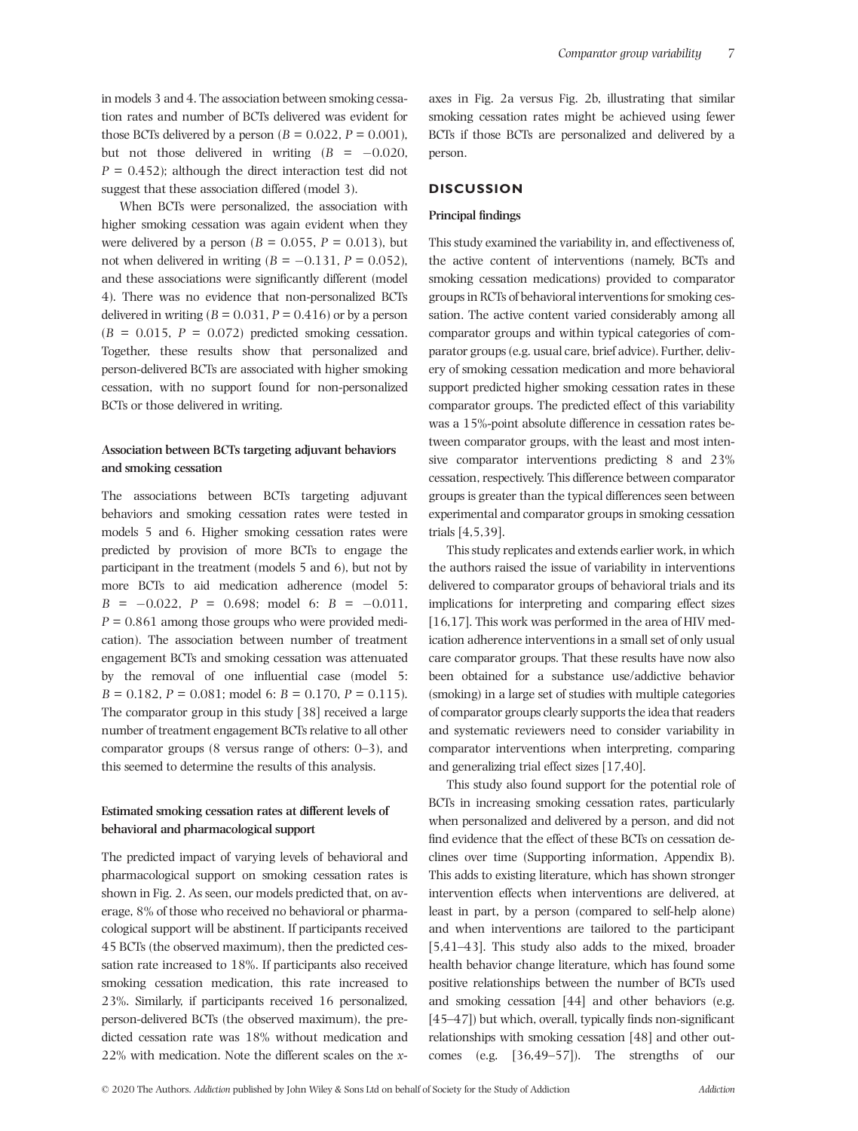in models 3 and 4. The association between smoking cessation rates and number of BCTs delivered was evident for those BCTs delivered by a person  $(B = 0.022, P = 0.001)$ , but not those delivered in writing  $(B = -0.020,$  $P = 0.452$ ; although the direct interaction test did not suggest that these association differed (model 3).

When BCTs were personalized, the association with higher smoking cessation was again evident when they were delivered by a person ( $B = 0.055$ ,  $P = 0.013$ ), but not when delivered in writing  $(B = -0.131, P = 0.052)$ , and these associations were significantly different (model 4). There was no evidence that non-personalized BCTs delivered in writing  $(B = 0.031, P = 0.416)$  or by a person  $(B = 0.015, P = 0.072)$  predicted smoking cessation. Together, these results show that personalized and person-delivered BCTs are associated with higher smoking cessation, with no support found for non-personalized BCTs or those delivered in writing.

# **Association between BCTs targeting adjuvant behaviors and smoking cessation**

The associations between BCTs targeting adjuvant behaviors and smoking cessation rates were tested in models 5 and 6. Higher smoking cessation rates were predicted by provision of more BCTs to engage the participant in the treatment (models 5 and 6), but not by more BCTs to aid medication adherence (model 5:  $B = -0.022$ ,  $P = 0.698$ ; model 6:  $B = -0.011$ ,  $P = 0.861$  among those groups who were provided medication). The association between number of treatment engagement BCTs and smoking cessation was attenuated by the removal of one influential case (model 5: *B* = 0.182, *P* = 0.081; model 6: *B* = 0.170, *P* = 0.115). The comparator group in this study [38] received a large number of treatment engagement BCTs relative to all other comparator groups (8 versus range of others: 0–3), and this seemed to determine the results of this analysis.

# **Estimated smoking cessation rates at different levels of behavioral and pharmacological support**

The predicted impact of varying levels of behavioral and pharmacological support on smoking cessation rates is shown in Fig. 2. As seen, our models predicted that, on average, 8% of those who received no behavioral or pharmacological support will be abstinent. If participants received 45 BCTs (the observed maximum), then the predicted cessation rate increased to 18%. If participants also received smoking cessation medication, this rate increased to 23%. Similarly, if participants received 16 personalized, person-delivered BCTs (the observed maximum), the predicted cessation rate was 18% without medication and 22% with medication. Note the different scales on the *x*-

axes in Fig. 2a versus Fig. 2b, illustrating that similar smoking cessation rates might be achieved using fewer BCTs if those BCTs are personalized and delivered by a person.

# **DISCUSSION**

#### **Principal findings**

This study examined the variability in, and effectiveness of, the active content of interventions (namely, BCTs and smoking cessation medications) provided to comparator groups in RCTs of behavioral interventions for smoking cessation. The active content varied considerably among all comparator groups and within typical categories of comparator groups (e.g. usual care, brief advice). Further, delivery of smoking cessation medication and more behavioral support predicted higher smoking cessation rates in these comparator groups. The predicted effect of this variability was a 15%-point absolute difference in cessation rates between comparator groups, with the least and most intensive comparator interventions predicting 8 and 23% cessation, respectively. This difference between comparator groups is greater than the typical differences seen between experimental and comparator groups in smoking cessation trials [4,5,39].

This study replicates and extends earlier work, in which the authors raised the issue of variability in interventions delivered to comparator groups of behavioral trials and its implications for interpreting and comparing effect sizes [16,17]. This work was performed in the area of HIV medication adherence interventions in a small set of only usual care comparator groups. That these results have now also been obtained for a substance use/addictive behavior (smoking) in a large set of studies with multiple categories of comparator groups clearly supports the idea that readers and systematic reviewers need to consider variability in comparator interventions when interpreting, comparing and generalizing trial effect sizes [17,40].

This study also found support for the potential role of BCTs in increasing smoking cessation rates, particularly when personalized and delivered by a person, and did not find evidence that the effect of these BCTs on cessation declines over time (Supporting information, Appendix B). This adds to existing literature, which has shown stronger intervention effects when interventions are delivered, at least in part, by a person (compared to self-help alone) and when interventions are tailored to the participant [5,41–43]. This study also adds to the mixed, broader health behavior change literature, which has found some positive relationships between the number of BCTs used and smoking cessation [44] and other behaviors (e.g. [45–47]) but which, overall, typically finds non-significant relationships with smoking cessation [48] and other outcomes (e.g. [36,49–57]). The strengths of our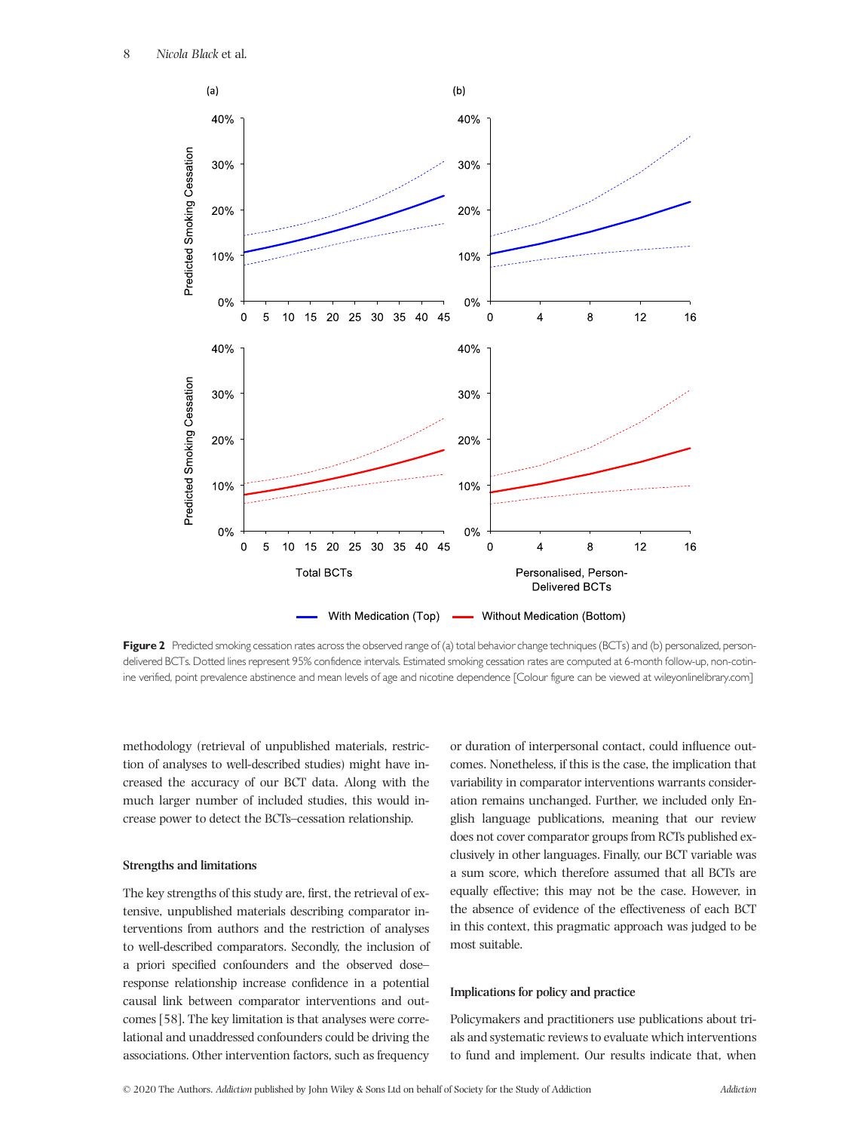

Figure 2 Predicted smoking cessation rates across the observed range of (a) total behavior change techniques (BCTs) and (b) personalized, persondelivered BCTs. Dotted lines represent 95% confidence intervals. Estimated smoking cessation rates are computed at 6-month follow-up, non-cotinine verified, point prevalence abstinence and mean levels of age and nicotine dependence [Colour figure can be viewed at [wileyonlinelibrary.com](http://wileyonlinelibrary.com)]

methodology (retrieval of unpublished materials, restriction of analyses to well-described studies) might have increased the accuracy of our BCT data. Along with the much larger number of included studies, this would increase power to detect the BCTs–cessation relationship.

## **Strengths and limitations**

The key strengths of this study are, first, the retrieval of extensive, unpublished materials describing comparator interventions from authors and the restriction of analyses to well-described comparators. Secondly, the inclusion of a priori specified confounders and the observed dose– response relationship increase confidence in a potential causal link between comparator interventions and outcomes [58]. The key limitation is that analyses were correlational and unaddressed confounders could be driving the associations. Other intervention factors, such as frequency

or duration of interpersonal contact, could influence outcomes. Nonetheless, if this is the case, the implication that variability in comparator interventions warrants consideration remains unchanged. Further, we included only English language publications, meaning that our review does not cover comparator groups from RCTs published exclusively in other languages. Finally, our BCT variable was a sum score, which therefore assumed that all BCTs are equally effective; this may not be the case. However, in the absence of evidence of the effectiveness of each BCT in this context, this pragmatic approach was judged to be most suitable.

## **Implications for policy and practice**

Policymakers and practitioners use publications about trials and systematic reviews to evaluate which interventions to fund and implement. Our results indicate that, when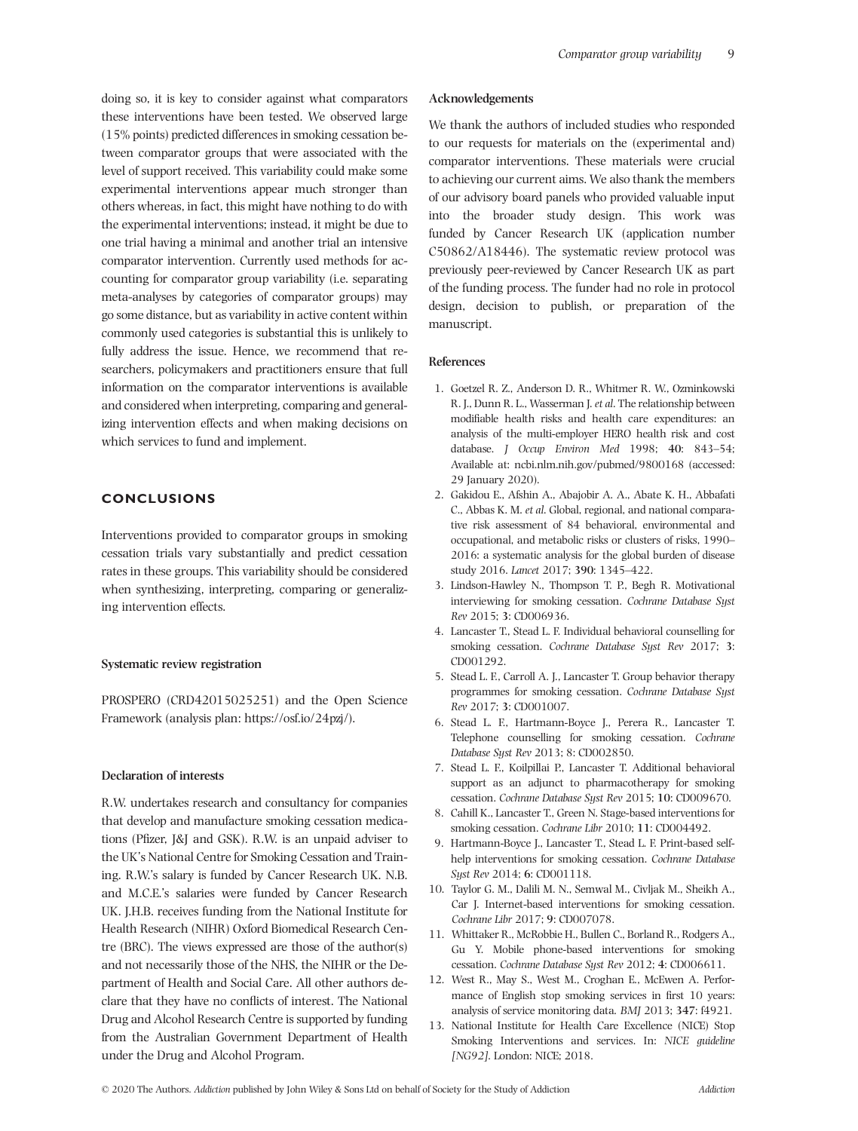doing so, it is key to consider against what comparators these interventions have been tested. We observed large (15% points) predicted differences in smoking cessation between comparator groups that were associated with the level of support received. This variability could make some experimental interventions appear much stronger than others whereas, in fact, this might have nothing to do with the experimental interventions; instead, it might be due to one trial having a minimal and another trial an intensive comparator intervention. Currently used methods for accounting for comparator group variability (i.e. separating meta-analyses by categories of comparator groups) may go some distance, but as variability in active content within commonly used categories is substantial this is unlikely to fully address the issue. Hence, we recommend that researchers, policymakers and practitioners ensure that full information on the comparator interventions is available and considered when interpreting, comparing and generalizing intervention effects and when making decisions on which services to fund and implement.

## **CONCLUSIONS**

Interventions provided to comparator groups in smoking cessation trials vary substantially and predict cessation rates in these groups. This variability should be considered when synthesizing, interpreting, comparing or generalizing intervention effects.

## **Systematic review registration**

PROSPERO (CRD42015025251) and the Open Science Framework (analysis plan:<https://osf.io/24pzj/>).

#### **Declaration of interests**

R.W. undertakes research and consultancy for companies that develop and manufacture smoking cessation medications (Pfizer, J&J and GSK). R.W. is an unpaid adviser to the UK's National Centre for Smoking Cessation and Training. R.W.'s salary is funded by Cancer Research UK. N.B. and M.C.E.'s salaries were funded by Cancer Research UK. J.H.B. receives funding from the National Institute for Health Research (NIHR) Oxford Biomedical Research Centre (BRC). The views expressed are those of the author(s) and not necessarily those of the NHS, the NIHR or the Department of Health and Social Care. All other authors declare that they have no conflicts of interest. The National Drug and Alcohol Research Centre is supported by funding from the Australian Government Department of Health under the Drug and Alcohol Program.

#### **Acknowledgements**

We thank the authors of included studies who responded to our requests for materials on the (experimental and) comparator interventions. These materials were crucial to achieving our current aims. We also thank the members of our advisory board panels who provided valuable input into the broader study design. This work was funded by Cancer Research UK (application number C50862/A18446). The systematic review protocol was previously peer-reviewed by Cancer Research UK as part of the funding process. The funder had no role in protocol design, decision to publish, or preparation of the manuscript.

## **References**

- 1. Goetzel R. Z., Anderson D. R., Whitmer R. W., Ozminkowski R. J., Dunn R. L., Wasserman J. *et al*. The relationship between modifiable health risks and health care expenditures: an analysis of the multi-employer HERO health risk and cost database. *J Occup Environ Med* 1998; **40**: 843–54; Available at: [ncbi.nlm.nih.gov/pubmed/9800168](http://ncbi.nlm.nih.gov/pubmed/9800168) (accessed: 29 January 2020).
- 2. Gakidou E., Afshin A., Abajobir A. A., Abate K. H., Abbafati C., Abbas K. M. *et al*. Global, regional, and national comparative risk assessment of 84 behavioral, environmental and occupational, and metabolic risks or clusters of risks, 1990– 2016: a systematic analysis for the global burden of disease study 2016. *Lancet* 2017; **390**: 1345–422.
- 3. Lindson-Hawley N., Thompson T. P., Begh R. Motivational interviewing for smoking cessation. *Cochrane Database Syst Rev* 2015; **3**: CD006936.
- 4. Lancaster T., Stead L. F. Individual behavioral counselling for smoking cessation. *Cochrane Database Syst Rev* 2017; **3**: CD001292.
- 5. Stead L. F., Carroll A. J., Lancaster T. Group behavior therapy programmes for smoking cessation. *Cochrane Database Syst Rev* 2017; **3**: CD001007.
- 6. Stead L. F., Hartmann-Boyce J., Perera R., Lancaster T. Telephone counselling for smoking cessation. *Cochrane Database Syst Rev* 2013; 8: CD002850.
- 7. Stead L. F., Koilpillai P., Lancaster T. Additional behavioral support as an adjunct to pharmacotherapy for smoking cessation. *Cochrane Database Syst Rev* 2015; **10**: CD009670.
- 8. Cahill K., Lancaster T., Green N. Stage-based interventions for smoking cessation. *Cochrane Libr* 2010; **11**: CD004492.
- 9. Hartmann-Boyce J., Lancaster T., Stead L. F. Print-based selfhelp interventions for smoking cessation. *Cochrane Database Syst Rev* 2014; **6**: CD001118.
- 10. Taylor G. M., Dalili M. N., Semwal M., Civljak M., Sheikh A., Car J. Internet-based interventions for smoking cessation. *Cochrane Libr* 2017; **9**: CD007078.
- 11. Whittaker R., McRobbie H., Bullen C., Borland R., Rodgers A., Gu Y. Mobile phone-based interventions for smoking cessation. *Cochrane Database Syst Rev* 2012; **4**: CD006611.
- 12. West R., May S., West M., Croghan E., McEwen A. Performance of English stop smoking services in first 10 years: analysis of service monitoring data. *BMJ* 2013; **347**: f4921.
- 13. National Institute for Health Care Excellence (NICE) Stop Smoking Interventions and services. In: *NICE guideline [NG92]*. London: NICE; 2018.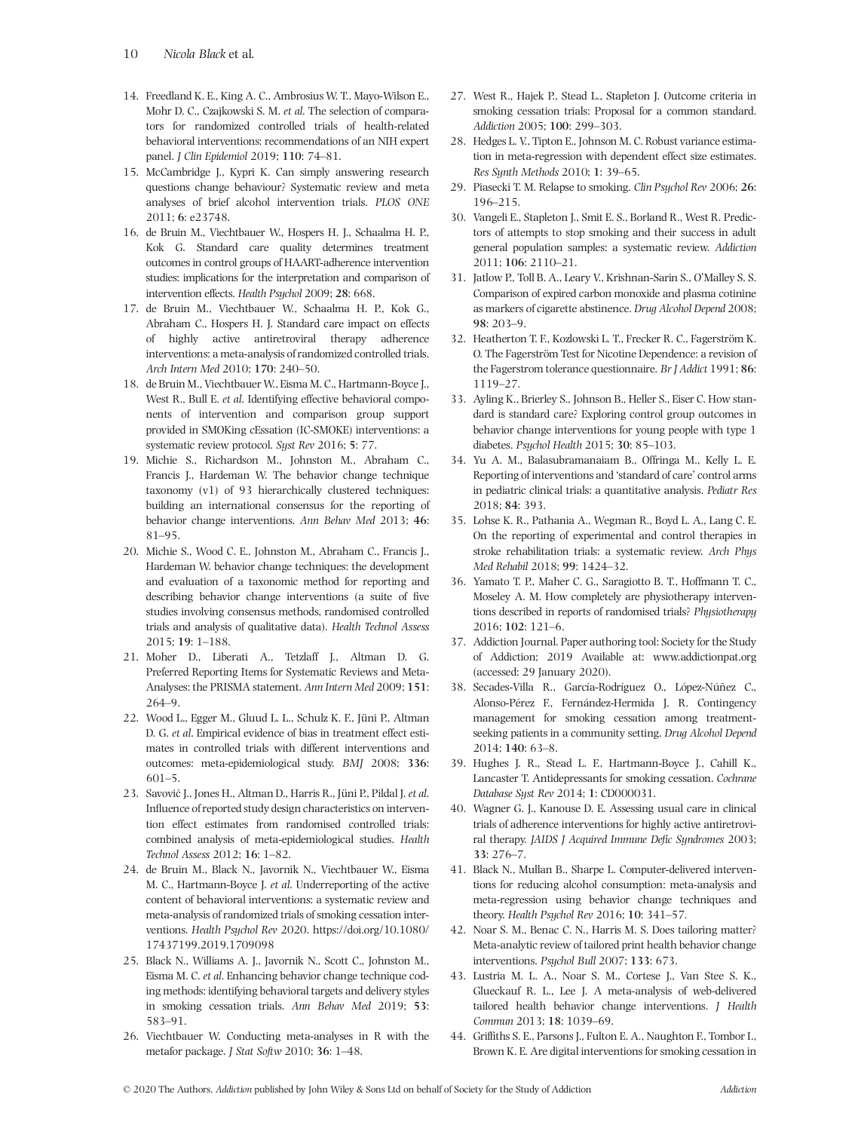- 14. Freedland K. E., King A. C., Ambrosius W. T., Mayo-Wilson E., Mohr D. C., Czajkowski S. M. *et al*. The selection of comparators for randomized controlled trials of health-related behavioral interventions: recommendations of an NIH expert panel. *J Clin Epidemiol* 2019; **110**: 74–81.
- 15. McCambridge J., Kypri K. Can simply answering research questions change behaviour? Systematic review and meta analyses of brief alcohol intervention trials. *PLOS ONE* 2011; **6**: e23748.
- 16. de Bruin M., Viechtbauer W., Hospers H. J., Schaalma H. P., Kok G. Standard care quality determines treatment outcomes in control groups of HAART-adherence intervention studies: implications for the interpretation and comparison of intervention effects. *Health Psychol* 2009; **28**: 668.
- 17. de Bruin M., Viechtbauer W., Schaalma H. P., Kok G., Abraham C., Hospers H. J. Standard care impact on effects of highly active antiretroviral therapy adherence interventions: a meta-analysis of randomized controlled trials. *Arch Intern Med* 2010; **170**: 240–50.
- 18. de Bruin M., Viechtbauer W., Eisma M. C., Hartmann-Boyce J., West R., Bull E. *et al*. Identifying effective behavioral components of intervention and comparison group support provided in SMOKing cEssation (IC-SMOKE) interventions: a systematic review protocol. *Syst Rev* 2016; **5**: 77.
- 19. Michie S., Richardson M., Johnston M., Abraham C., Francis J., Hardeman W. The behavior change technique taxonomy (v1) of 93 hierarchically clustered techniques: building an international consensus for the reporting of behavior change interventions. *Ann Behav Med* 2013; **46**: 81–95.
- 20. Michie S., Wood C. E., Johnston M., Abraham C., Francis J., Hardeman W. behavior change techniques: the development and evaluation of a taxonomic method for reporting and describing behavior change interventions (a suite of five studies involving consensus methods, randomised controlled trials and analysis of qualitative data). *Health Technol Assess* 2015; **19**: 1–188.
- 21. Moher D., Liberati A., Tetzlaff J., Altman D. G. Preferred Reporting Items for Systematic Reviews and Meta-Analyses: the PRISMA statement. *Ann Intern Med* 2009; **151**: 264–9.
- 22. Wood L., Egger M., Gluud L. L., Schulz K. F., Jüni P., Altman D. G. *et al*. Empirical evidence of bias in treatment effect estimates in controlled trials with different interventions and outcomes: meta-epidemiological study. *BMJ* 2008; **336**: 601–5.
- 23. Savović J., Jones H., Altman D., Harris R., Jüni P., Pildal J. *et al*. Influence of reported study design characteristics on intervention effect estimates from randomised controlled trials: combined analysis of meta-epidemiological studies. *Health Technol Assess* 2012; **16**: 1–82.
- 24. de Bruin M., Black N., Javornik N., Viechtbauer W., Eisma M. C., Hartmann-Boyce J. *et al*. Underreporting of the active content of behavioral interventions: a systematic review and meta-analysis of randomized trials of smoking cessation interventions. *Health Psychol Rev* 2020. [https://doi.org/10.1080/](https://doi.org/10.1080/17437199.2019.1709098) [17437199.2019.1709098](https://doi.org/10.1080/17437199.2019.1709098)
- 25. Black N., Williams A. J., Javornik N., Scott C., Johnston M., Eisma M. C. *et al*. Enhancing behavior change technique coding methods: identifying behavioral targets and delivery styles in smoking cessation trials. *Ann Behav Med* 2019; **53**: 583–91.
- 26. Viechtbauer W. Conducting meta-analyses in R with the metafor package. *J Stat Softw* 2010; **36**: 1–48.
- 27. West R., Hajek P., Stead L., Stapleton J. Outcome criteria in smoking cessation trials: Proposal for a common standard. *Addiction* 2005; **100**: 299–303.
- 28. Hedges L. V., Tipton E., Johnson M. C. Robust variance estimation in meta-regression with dependent effect size estimates. *Res Synth Methods* 2010; **1**: 39–65.
- 29. Piasecki T. M. Relapse to smoking. *Clin Psychol Rev* 2006; **26**: 196–215.
- 30. Vangeli E., Stapleton J., Smit E. S., Borland R., West R. Predictors of attempts to stop smoking and their success in adult general population samples: a systematic review. *Addiction* 2011; **106**: 2110–21.
- 31. Jatlow P., Toll B. A., Leary V., Krishnan-Sarin S., O'Malley S. S. Comparison of expired carbon monoxide and plasma cotinine as markers of cigarette abstinence. *Drug Alcohol Depend* 2008; **98**: 203–9.
- 32. Heatherton T. F., Kozlowski L. T., Frecker R. C., Fagerström K. O. The Fagerström Test for Nicotine Dependence: a revision of the Fagerstrom tolerance questionnaire. *Br J Addict* 1991; **86**: 1119–27.
- 33. Ayling K., Brierley S., Johnson B., Heller S., Eiser C. How standard is standard care? Exploring control group outcomes in behavior change interventions for young people with type 1 diabetes. *Psychol Health* 2015; **30**: 85–103.
- 34. Yu A. M., Balasubramanaiam B., Offringa M., Kelly L. E. Reporting of interventions and 'standard of care' control arms in pediatric clinical trials: a quantitative analysis. *Pediatr Res* 2018; **84**: 393.
- 35. Lohse K. R., Pathania A., Wegman R., Boyd L. A., Lang C. E. On the reporting of experimental and control therapies in stroke rehabilitation trials: a systematic review. *Arch Phys Med Rehabil* 2018; **99**: 1424–32.
- 36. Yamato T. P., Maher C. G., Saragiotto B. T., Hoffmann T. C., Moseley A. M. How completely are physiotherapy interventions described in reports of randomised trials? *Physiotherapy* 2016; **102**: 121–6.
- 37. Addiction Journal. Paper authoring tool: Society for the Study of Addiction; 2019 Available at: [www.addictionpat.org](http://www.addictionpat.org) (accessed: 29 January 2020).
- 38. Secades-Villa R., García-Rodríguez O., López-Núñez C., Alonso-Pérez F., Fernández-Hermida J. R. Contingency management for smoking cessation among treatmentseeking patients in a community setting. *Drug Alcohol Depend* 2014; **140**: 63–8.
- 39. Hughes J. R., Stead L. F., Hartmann-Boyce J., Cahill K., Lancaster T. Antidepressants for smoking cessation. *Cochrane Database Syst Rev* 2014; **1**: CD000031.
- 40. Wagner G. J., Kanouse D. E. Assessing usual care in clinical trials of adherence interventions for highly active antiretroviral therapy. *JAIDS J Acquired Immune Defic Syndromes* 2003; **33**: 276–7.
- 41. Black N., Mullan B., Sharpe L. Computer-delivered interventions for reducing alcohol consumption: meta-analysis and meta-regression using behavior change techniques and theory. *Health Psychol Rev* 2016; **10**: 341–57.
- 42. Noar S. M., Benac C. N., Harris M. S. Does tailoring matter? Meta-analytic review of tailored print health behavior change interventions. *Psychol Bull* 2007; **133**: 673.
- 43. Lustria M. L. A., Noar S. M., Cortese J., Van Stee S. K., Glueckauf R. L., Lee J. A meta-analysis of web-delivered tailored health behavior change interventions. *J Health Commun* 2013; **18**: 1039–69.
- 44. Griffiths S. E., Parsons J., Fulton E. A., Naughton F., Tombor I., Brown K. E. Are digital interventions for smoking cessation in